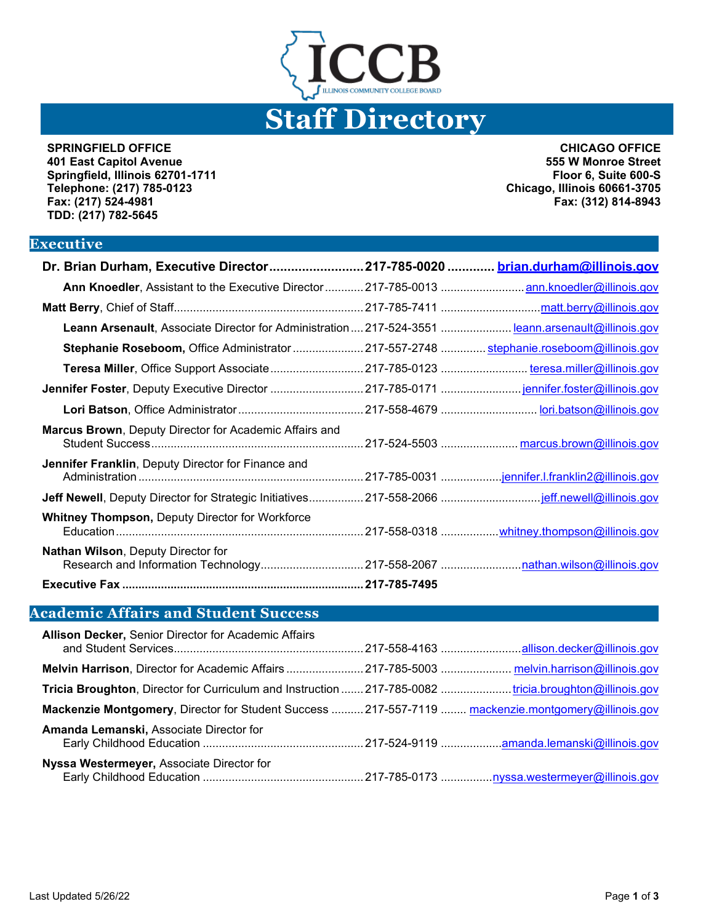

**SPRINGFIELD OFFICE 401 East Capitol Avenue Springfield, Illinois 62701-1711 Telephone: (217) 785-0123 Fax: (217) 524-4981 TDD: (217) 782-5645**

**CHICAGO OFFICE 555 W Monroe Street Floor 6, Suite 600-S Chicago, Illinois 60661-3705 Fax: (312) 814-8943**

#### **Executive**

| Dr. Brian Durham, Executive Director217-785-0020  brian.durham@illinois.gov                        |  |
|----------------------------------------------------------------------------------------------------|--|
| Ann Knoedler, Assistant to the Executive Director  217-785-0013  ann.knoedler@illinois.gov         |  |
|                                                                                                    |  |
| Leann Arsenault, Associate Director for Administration  217-524-3551  leann.arsenault@illinois.gov |  |
| Stephanie Roseboom, Office Administrator  217-557-2748  stephanie.roseboom@illinois.gov            |  |
| Teresa Miller, Office Support Associate  217-785-0123  teresa.miller@illinois.gov                  |  |
|                                                                                                    |  |
|                                                                                                    |  |
| Marcus Brown, Deputy Director for Academic Affairs and                                             |  |
| <b>Jennifer Franklin, Deputy Director for Finance and</b>                                          |  |
|                                                                                                    |  |
| <b>Whitney Thompson, Deputy Director for Workforce</b>                                             |  |
| <b>Nathan Wilson, Deputy Director for</b>                                                          |  |
|                                                                                                    |  |

## **Academic Affairs and Student Success**

| <b>Allison Decker, Senior Director for Academic Affairs</b>                                           |  |
|-------------------------------------------------------------------------------------------------------|--|
| Melvin Harrison, Director for Academic Affairs  217-785-5003  melvin.harrison@illinois.gov            |  |
| Tricia Broughton, Director for Curriculum and Instruction  217-785-0082 tricia.broughton@illinois.gov |  |
| Mackenzie Montgomery, Director for Student Success  217-557-7119  mackenzie.montgomery@illinois.gov   |  |
| Amanda Lemanski, Associate Director for                                                               |  |
| Nyssa Westermeyer, Associate Director for                                                             |  |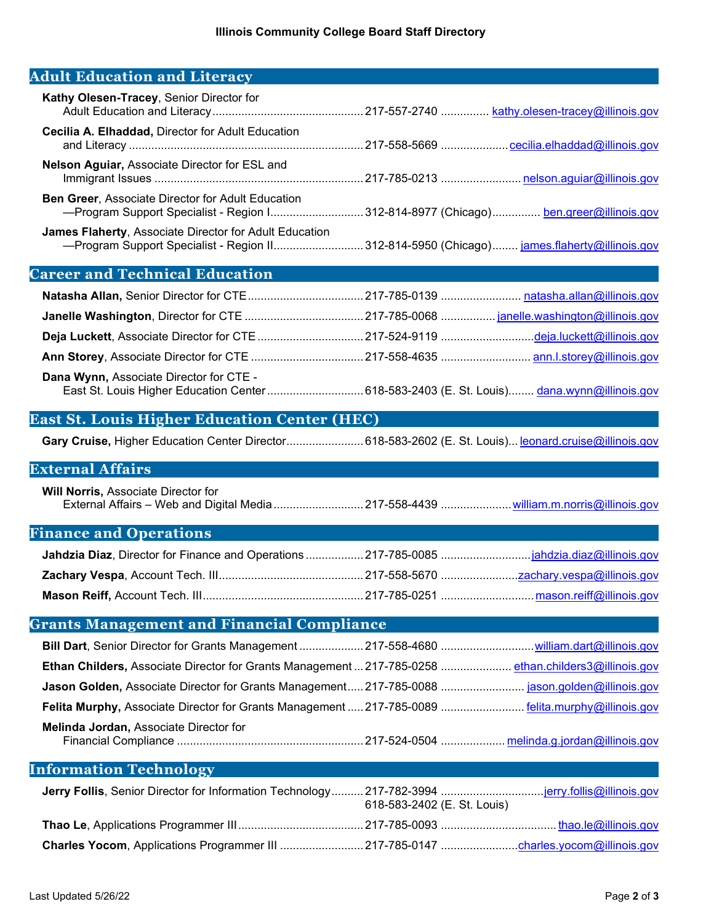# **Adult Education and Literacy**

| Kathy Olesen-Tracey, Senior Director for                                                                                                                    |  |
|-------------------------------------------------------------------------------------------------------------------------------------------------------------|--|
| <b>Cecilia A. Elhaddad, Director for Adult Education</b>                                                                                                    |  |
| Nelson Aguiar, Associate Director for ESL and                                                                                                               |  |
| <b>Ben Greer, Associate Director for Adult Education</b><br>-Program Support Specialist - Region I 312-814-8977 (Chicago) ben.greer@illinois.gov            |  |
| <b>James Flaherty, Associate Director for Adult Education</b><br>-Program Support Specialist - Region II 312-814-5950 (Chicago) james.flaherty@illinois.gov |  |

# **Career and Technical Education**

| Dana Wynn, Associate Director for CTE -<br>East St. Louis Higher Education Center  618-583-2403 (E. St. Louis) dana.wynn@illinois.gov |  |
|---------------------------------------------------------------------------------------------------------------------------------------|--|

### **East St. Louis Higher Education Center (HEC)**

Gary Cruise, Higher Education Center Director.............................. 618-583-2602 (E. St. Louis)... [leonard.cruise@illinois.gov](mailto:leonard.cruise@illinois.gov)

#### **External Affairs**

**Will Norris,** Associate Director for External Affairs – Web and Digital Media............................217-558-4439 .....................[.william.m.norris@illinois.gov](mailto:william.m.norris@illinois.gov)

#### **Finance and Operations**

#### **Grants Management and Financial Compliance**

| Ethan Childers, Associate Director for Grants Management  217-785-0258  ethan.childers3@illinois.gov |  |
|------------------------------------------------------------------------------------------------------|--|
| Jason Golden, Associate Director for Grants Management 217-785-0088  jason.golden@illinois.gov       |  |
| Felita Murphy, Associate Director for Grants Management  217-785-0089  felita.murphy@illinois.gov    |  |
| Melinda Jordan, Associate Director for                                                               |  |
|                                                                                                      |  |

#### **Information Technology**

| 618-583-2402 (E. St. Louis) |  |
|-----------------------------|--|
|                             |  |
|                             |  |
|                             |  |